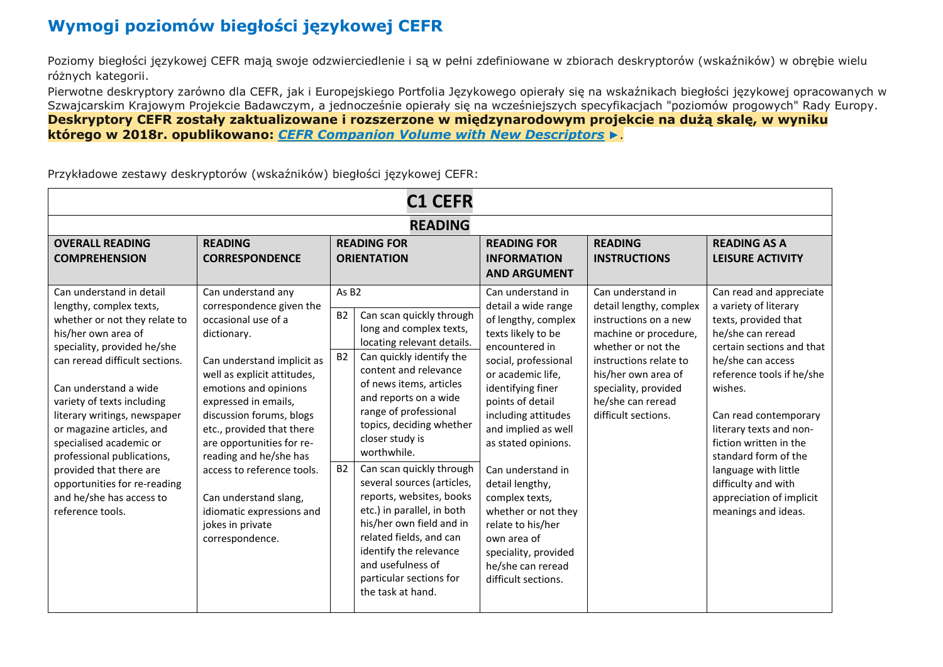## **Wymogi poziomów biegłości językowej CEFR**

Poziomy biegłości językowej CEFR mają swoje odzwierciedlenie i są w pełni zdefiniowane w zbiorach deskryptorów (wskaźników) w obrębie wielu różnych kategorii.

Pierwotne deskryptory zarówno dla CEFR, jak i Europejskiego Portfolia Językowego opierały się na wskaźnikach biegłości językowej opracowanych w Szwajcarskim Krajowym Projekcie Badawczym, a jednocześnie opierały się na wcześniejszych specyfikacjach "poziomów progowych" Rady Europy. **Deskryptory CEFR zostały zaktualizowane i rozszerzone w międzynarodowym projekcie na dużą skalę, w wyniku którego w 2018r. opublikowano:** *[CEFR Companion Volume with New Descriptors](http://rm.coe.int/cefr-companion-volume-with-new-descriptors-2018/1680787989) ►*.

| <b>C1 CEFR</b>                                                                                                                                                                                                                                                                                                                                                                                                                                                       |                                                                                                                                                                                                                                                                                                                                                                                                                                               |                                                          |                                                                                                                                                                                                                                                                                                                                                                                                                                                                                                                                                             |                                                                                                                                                                                                                                                                                                                                                                                                                                                             |                                                                                                                                                                                                                                           |                                                                                                                                                                                                                                                                                                                                                                                                 |  |  |  |
|----------------------------------------------------------------------------------------------------------------------------------------------------------------------------------------------------------------------------------------------------------------------------------------------------------------------------------------------------------------------------------------------------------------------------------------------------------------------|-----------------------------------------------------------------------------------------------------------------------------------------------------------------------------------------------------------------------------------------------------------------------------------------------------------------------------------------------------------------------------------------------------------------------------------------------|----------------------------------------------------------|-------------------------------------------------------------------------------------------------------------------------------------------------------------------------------------------------------------------------------------------------------------------------------------------------------------------------------------------------------------------------------------------------------------------------------------------------------------------------------------------------------------------------------------------------------------|-------------------------------------------------------------------------------------------------------------------------------------------------------------------------------------------------------------------------------------------------------------------------------------------------------------------------------------------------------------------------------------------------------------------------------------------------------------|-------------------------------------------------------------------------------------------------------------------------------------------------------------------------------------------------------------------------------------------|-------------------------------------------------------------------------------------------------------------------------------------------------------------------------------------------------------------------------------------------------------------------------------------------------------------------------------------------------------------------------------------------------|--|--|--|
| <b>READING</b>                                                                                                                                                                                                                                                                                                                                                                                                                                                       |                                                                                                                                                                                                                                                                                                                                                                                                                                               |                                                          |                                                                                                                                                                                                                                                                                                                                                                                                                                                                                                                                                             |                                                                                                                                                                                                                                                                                                                                                                                                                                                             |                                                                                                                                                                                                                                           |                                                                                                                                                                                                                                                                                                                                                                                                 |  |  |  |
| <b>OVERALL READING</b><br><b>COMPREHENSION</b>                                                                                                                                                                                                                                                                                                                                                                                                                       | <b>READING</b><br><b>CORRESPONDENCE</b>                                                                                                                                                                                                                                                                                                                                                                                                       | <b>READING FOR</b><br><b>ORIENTATION</b>                 |                                                                                                                                                                                                                                                                                                                                                                                                                                                                                                                                                             | <b>READING FOR</b><br><b>INFORMATION</b><br><b>AND ARGUMENT</b>                                                                                                                                                                                                                                                                                                                                                                                             | <b>READING</b><br><b>INSTRUCTIONS</b>                                                                                                                                                                                                     | <b>READING AS A</b><br><b>LEISURE ACTIVITY</b>                                                                                                                                                                                                                                                                                                                                                  |  |  |  |
| Can understand in detail<br>lengthy, complex texts,<br>whether or not they relate to<br>his/her own area of<br>speciality, provided he/she<br>can reread difficult sections.<br>Can understand a wide<br>variety of texts including<br>literary writings, newspaper<br>or magazine articles, and<br>specialised academic or<br>professional publications,<br>provided that there are<br>opportunities for re-reading<br>and he/she has access to<br>reference tools. | Can understand any<br>correspondence given the<br>occasional use of a<br>dictionary.<br>Can understand implicit as<br>well as explicit attitudes,<br>emotions and opinions<br>expressed in emails,<br>discussion forums, blogs<br>etc., provided that there<br>are opportunities for re-<br>reading and he/she has<br>access to reference tools.<br>Can understand slang,<br>idiomatic expressions and<br>jokes in private<br>correspondence. | As B <sub>2</sub><br><b>B2</b><br><b>B2</b><br><b>B2</b> | Can scan quickly through<br>long and complex texts,<br>locating relevant details.<br>Can quickly identify the<br>content and relevance<br>of news items, articles<br>and reports on a wide<br>range of professional<br>topics, deciding whether<br>closer study is<br>worthwhile.<br>Can scan quickly through<br>several sources (articles,<br>reports, websites, books<br>etc.) in parallel, in both<br>his/her own field and in<br>related fields, and can<br>identify the relevance<br>and usefulness of<br>particular sections for<br>the task at hand. | Can understand in<br>detail a wide range<br>of lengthy, complex<br>texts likely to be<br>encountered in<br>social, professional<br>or academic life,<br>identifying finer<br>points of detail<br>including attitudes<br>and implied as well<br>as stated opinions.<br>Can understand in<br>detail lengthy,<br>complex texts,<br>whether or not they<br>relate to his/her<br>own area of<br>speciality, provided<br>he/she can reread<br>difficult sections. | Can understand in<br>detail lengthy, complex<br>instructions on a new<br>machine or procedure,<br>whether or not the<br>instructions relate to<br>his/her own area of<br>speciality, provided<br>he/she can reread<br>difficult sections. | Can read and appreciate<br>a variety of literary<br>texts, provided that<br>he/she can reread<br>certain sections and that<br>he/she can access<br>reference tools if he/she<br>wishes.<br>Can read contemporary<br>literary texts and non-<br>fiction written in the<br>standard form of the<br>language with little<br>difficulty and with<br>appreciation of implicit<br>meanings and ideas. |  |  |  |

Przykładowe zestawy deskryptorów (wskaźników) biegłości językowej CEFR: